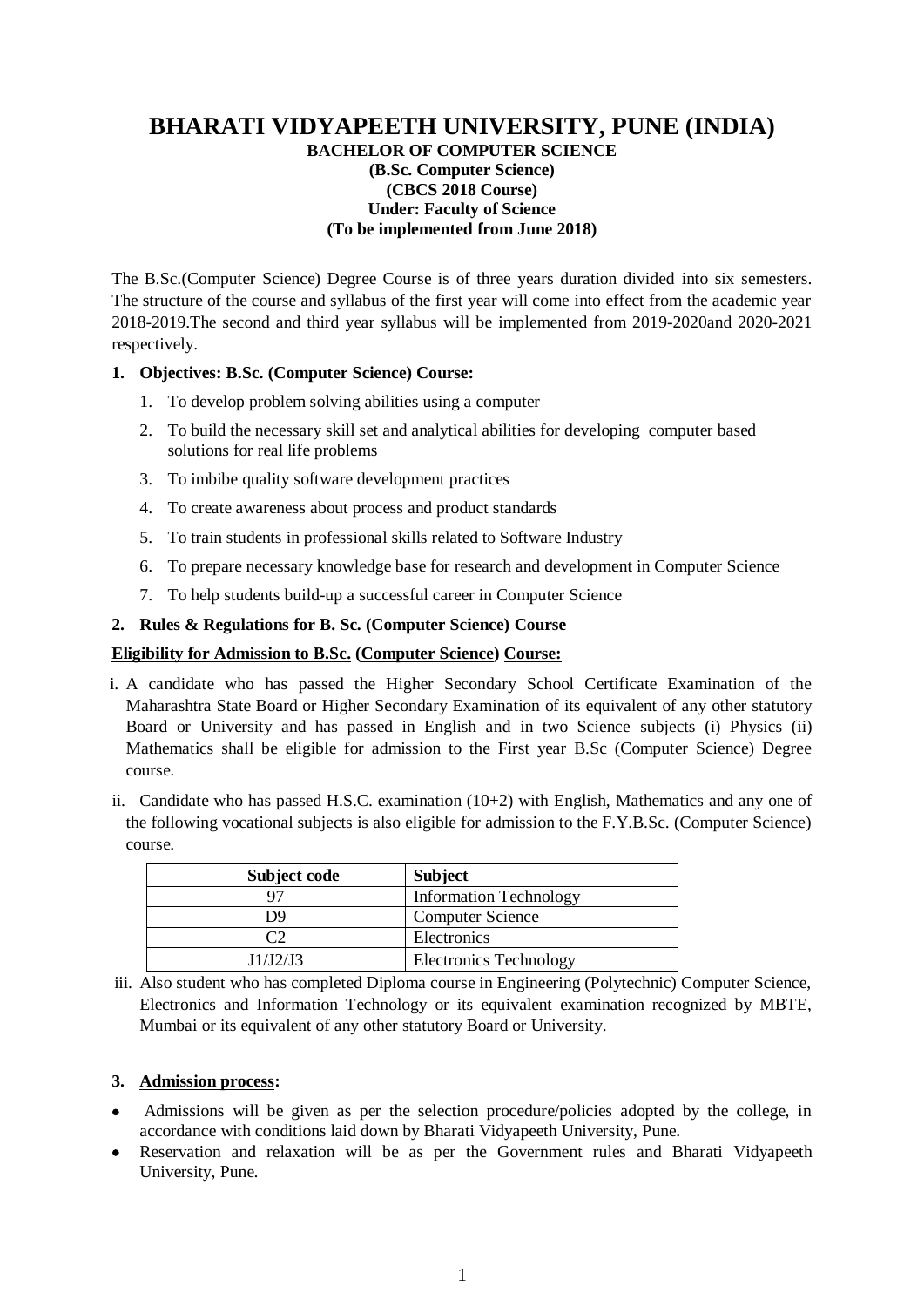## **BHARATI VIDYAPEETH UNIVERSITY, PUNE (INDIA) BACHELOR OF COMPUTER SCIENCE (B.Sc. Computer Science) (CBCS 2018 Course)**

## **Under: Faculty of Science (To be implemented from June 2018)**

The B.Sc.(Computer Science) Degree Course is of three years duration divided into six semesters. The structure of the course and syllabus of the first year will come into effect from the academic year 2018-2019.The second and third year syllabus will be implemented from 2019-2020and 2020-2021 respectively.

## **1. Objectives: B.Sc. (Computer Science) Course:**

- 1. To develop problem solving abilities using a computer
- 2. To build the necessary skill set and analytical abilities for developing computer based solutions for real life problems
- 3. To imbibe quality software development practices
- 4. To create awareness about process and product standards
- 5. To train students in professional skills related to Software Industry
- 6. To prepare necessary knowledge base for research and development in Computer Science
- 7. To help students build-up a successful career in Computer Science

## **2. Rules & Regulations for B. Sc. (Computer Science) Course**

## **Eligibility for Admission to B.Sc. (Computer Science) Course:**

- i. A candidate who has passed the Higher Secondary School Certificate Examination of the Maharashtra State Board or Higher Secondary Examination of its equivalent of any other statutory Board or University and has passed in English and in two Science subjects (i) Physics (ii) Mathematics shall be eligible for admission to the First year B.Sc (Computer Science) Degree course.
- ii. Candidate who has passed H.S.C. examination  $(10+2)$  with English, Mathematics and any one of the following vocational subjects is also eligible for admission to the F.Y.B.Sc. (Computer Science) course.

| Subject code | <b>Subject</b>                |
|--------------|-------------------------------|
|              | <b>Information Technology</b> |
| D9           | <b>Computer Science</b>       |
| ∩∩           | Electronics                   |
| J1/J2/J3     | <b>Electronics Technology</b> |

iii. Also student who has completed Diploma course in Engineering (Polytechnic) Computer Science, Electronics and Information Technology or its equivalent examination recognized by MBTE, Mumbai or its equivalent of any other statutory Board or University.

## **3. Admission process:**

- Admissions will be given as per the selection procedure/policies adopted by the college, in accordance with conditions laid down by Bharati Vidyapeeth University, Pune.
- Reservation and relaxation will be as per the Government rules and Bharati Vidyapeeth University, Pune.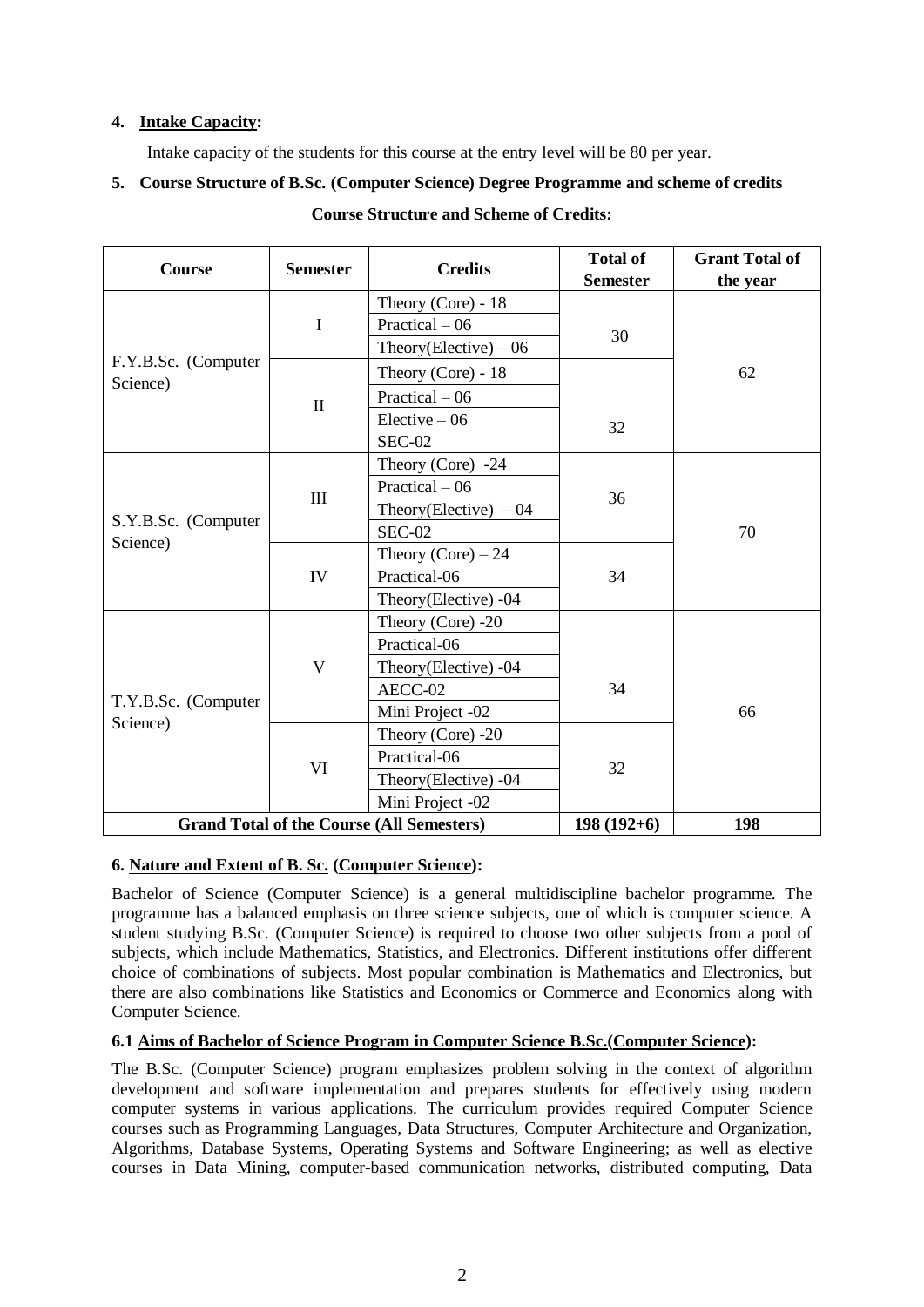## **4. Intake Capacity:**

Intake capacity of the students for this course at the entry level will be 80 per year.

# **5. Course Structure of B.Sc. (Computer Science) Degree Programme and scheme of credits**

| Course                          | <b>Semester</b>         | <b>Credits</b>                                   | <b>Total of</b><br><b>Semester</b> | <b>Grant Total of</b><br>the year |  |  |
|---------------------------------|-------------------------|--------------------------------------------------|------------------------------------|-----------------------------------|--|--|
|                                 |                         | Theory (Core) - $18$                             |                                    |                                   |  |  |
|                                 | I                       | Practical $-06$                                  |                                    |                                   |  |  |
|                                 |                         | Theory(Elective) $-06$                           | 30                                 |                                   |  |  |
| F.Y.B.Sc. (Computer<br>Science) |                         | Theory (Core) - $18$                             |                                    | 62                                |  |  |
|                                 | $\mathbf{I}$            | Practical $-06$                                  |                                    |                                   |  |  |
|                                 |                         | $Electric -06$                                   | 32                                 |                                   |  |  |
|                                 |                         | <b>SEC-02</b>                                    |                                    |                                   |  |  |
|                                 |                         | Theory (Core) $-24$                              |                                    |                                   |  |  |
| S.Y.B.Sc. (Computer             | $\mathbf{III}$          | Practical $-06$                                  | 36                                 |                                   |  |  |
|                                 |                         | Theory(Elective) $-04$                           |                                    |                                   |  |  |
|                                 |                         | $SEC-02$                                         |                                    | 70                                |  |  |
| Science)                        |                         | Theory (Core) $-24$                              |                                    |                                   |  |  |
|                                 | IV                      | Practical-06                                     | 34                                 |                                   |  |  |
|                                 |                         | Theory(Elective) -04                             |                                    |                                   |  |  |
|                                 |                         | Theory (Core) -20                                |                                    |                                   |  |  |
|                                 |                         | Practical-06                                     |                                    |                                   |  |  |
|                                 | $\overline{\mathsf{V}}$ | Theory(Elective) -04                             |                                    |                                   |  |  |
| T.Y.B.Sc. (Computer             |                         | AECC-02                                          | 34                                 |                                   |  |  |
| Science)                        |                         | Mini Project -02                                 |                                    | 66                                |  |  |
|                                 |                         | Theory (Core) -20                                |                                    |                                   |  |  |
|                                 | VI                      | Practical-06                                     | 32                                 |                                   |  |  |
|                                 |                         | Theory(Elective) -04                             |                                    |                                   |  |  |
|                                 |                         | Mini Project -02                                 |                                    |                                   |  |  |
|                                 |                         | <b>Grand Total of the Course (All Semesters)</b> | $198(192+6)$                       | 198                               |  |  |

# **Course Structure and Scheme of Credits:**

# **6. Nature and Extent of B. Sc. (Computer Science):**

Bachelor of Science (Computer Science) is a general multidiscipline bachelor programme. The programme has a balanced emphasis on three science subjects, one of which is computer science. A student studying B.Sc. (Computer Science) is required to choose two other subjects from a pool of subjects, which include Mathematics, Statistics, and Electronics. Different institutions offer different choice of combinations of subjects. Most popular combination is Mathematics and Electronics, but there are also combinations like Statistics and Economics or Commerce and Economics along with Computer Science.

# **6.1 Aims of Bachelor of Science Program in Computer Science B.Sc.(Computer Science):**

The B.Sc. (Computer Science) program emphasizes problem solving in the context of algorithm development and software implementation and prepares students for effectively using modern computer systems in various applications. The curriculum provides required Computer Science courses such as Programming Languages, Data Structures, Computer Architecture and Organization, Algorithms, Database Systems, Operating Systems and Software Engineering; as well as elective courses in Data Mining, computer-based communication networks, distributed computing, Data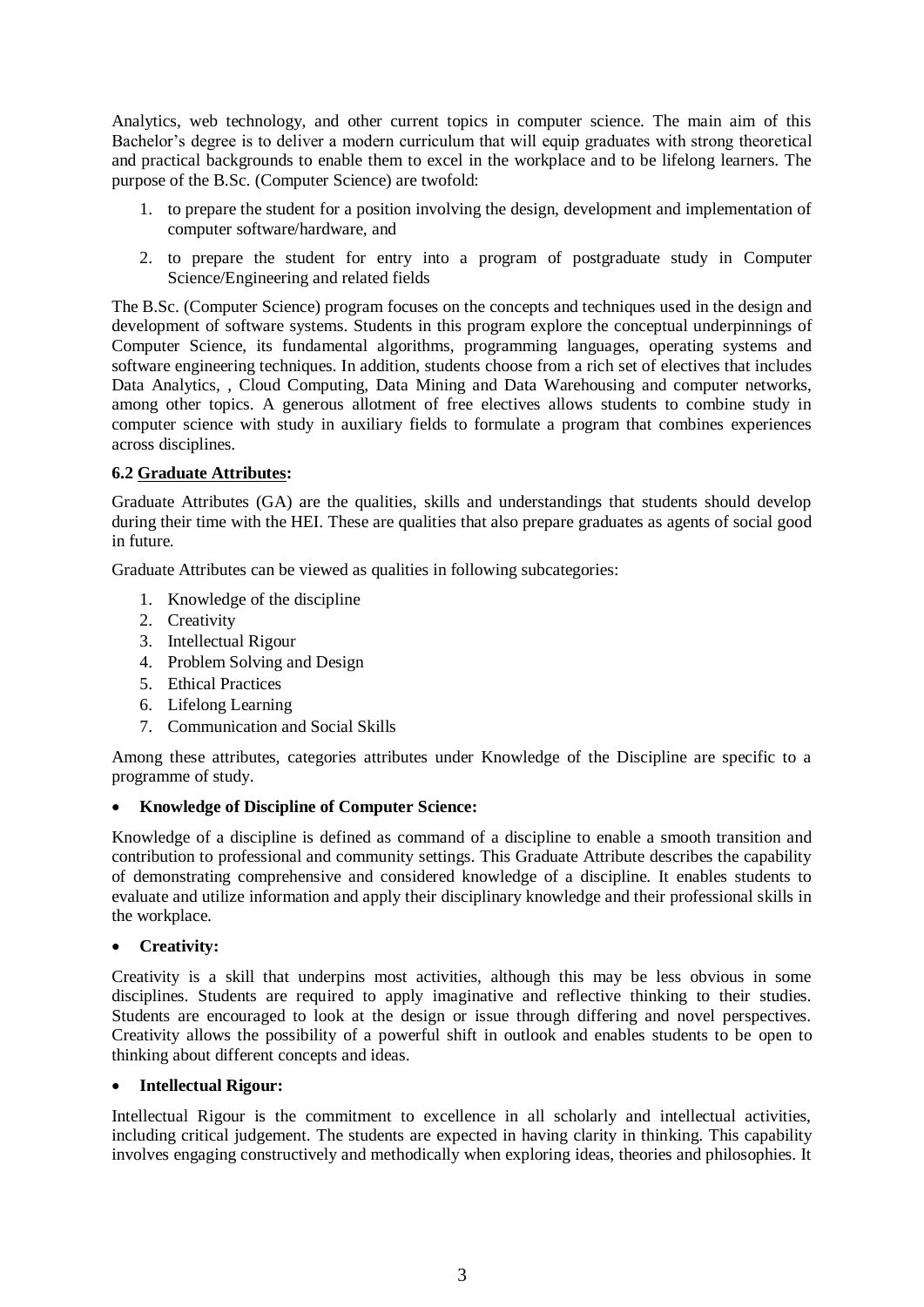Analytics, web technology, and other current topics in computer science. The main aim of this Bachelor's degree is to deliver a modern curriculum that will equip graduates with strong theoretical and practical backgrounds to enable them to excel in the workplace and to be lifelong learners. The purpose of the B.Sc. (Computer Science) are twofold:

- 1. to prepare the student for a position involving the design, development and implementation of computer software/hardware, and
- 2. to prepare the student for entry into a program of postgraduate study in Computer Science/Engineering and related fields

The B.Sc. (Computer Science) program focuses on the concepts and techniques used in the design and development of software systems. Students in this program explore the conceptual underpinnings of Computer Science, its fundamental algorithms, programming languages, operating systems and software engineering techniques. In addition, students choose from a rich set of electives that includes Data Analytics, , Cloud Computing, Data Mining and Data Warehousing and computer networks, among other topics. A generous allotment of free electives allows students to combine study in computer science with study in auxiliary fields to formulate a program that combines experiences across disciplines.

## **6.2 Graduate Attributes:**

Graduate Attributes (GA) are the qualities, skills and understandings that students should develop during their time with the HEI. These are qualities that also prepare graduates as agents of social good in future.

Graduate Attributes can be viewed as qualities in following subcategories:

- 1. Knowledge of the discipline
- 2. Creativity
- 3. Intellectual Rigour
- 4. Problem Solving and Design
- 5. Ethical Practices
- 6. Lifelong Learning
- 7. Communication and Social Skills

Among these attributes, categories attributes under Knowledge of the Discipline are specific to a programme of study.

#### **Knowledge of Discipline of Computer Science:**

Knowledge of a discipline is defined as command of a discipline to enable a smooth transition and contribution to professional and community settings. This Graduate Attribute describes the capability of demonstrating comprehensive and considered knowledge of a discipline. It enables students to evaluate and utilize information and apply their disciplinary knowledge and their professional skills in the workplace.

#### **Creativity:**

Creativity is a skill that underpins most activities, although this may be less obvious in some disciplines. Students are required to apply imaginative and reflective thinking to their studies. Students are encouraged to look at the design or issue through differing and novel perspectives. Creativity allows the possibility of a powerful shift in outlook and enables students to be open to thinking about different concepts and ideas.

#### **Intellectual Rigour:**

Intellectual Rigour is the commitment to excellence in all scholarly and intellectual activities, including critical judgement. The students are expected in having clarity in thinking. This capability involves engaging constructively and methodically when exploring ideas, theories and philosophies. It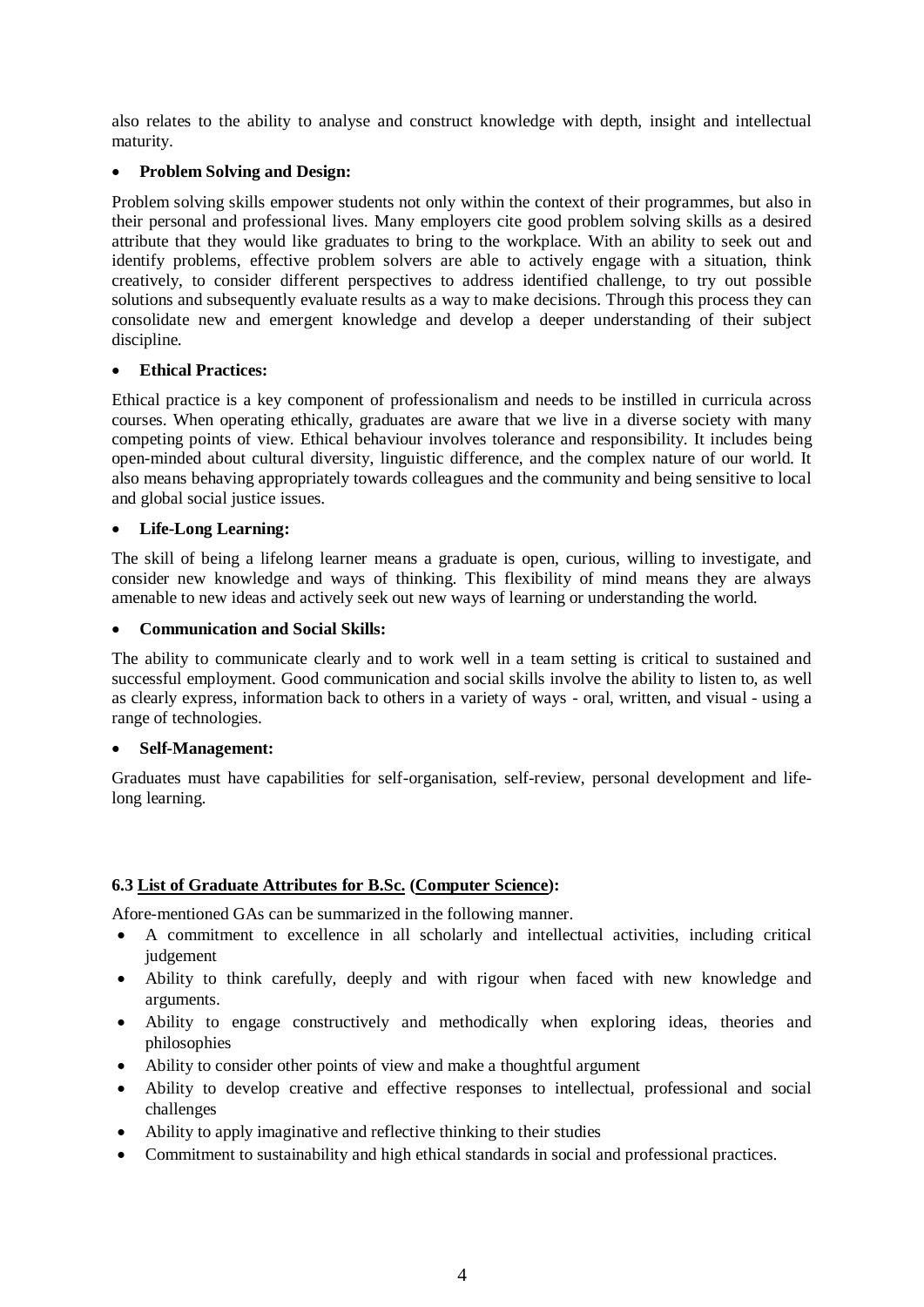also relates to the ability to analyse and construct knowledge with depth, insight and intellectual maturity.

#### **Problem Solving and Design:**

Problem solving skills empower students not only within the context of their programmes, but also in their personal and professional lives. Many employers cite good problem solving skills as a desired attribute that they would like graduates to bring to the workplace. With an ability to seek out and identify problems, effective problem solvers are able to actively engage with a situation, think creatively, to consider different perspectives to address identified challenge, to try out possible solutions and subsequently evaluate results as a way to make decisions. Through this process they can consolidate new and emergent knowledge and develop a deeper understanding of their subject discipline.

#### **Ethical Practices:**

Ethical practice is a key component of professionalism and needs to be instilled in curricula across courses. When operating ethically, graduates are aware that we live in a diverse society with many competing points of view. Ethical behaviour involves tolerance and responsibility. It includes being open-minded about cultural diversity, linguistic difference, and the complex nature of our world. It also means behaving appropriately towards colleagues and the community and being sensitive to local and global social justice issues.

#### **Life-Long Learning:**

The skill of being a lifelong learner means a graduate is open, curious, willing to investigate, and consider new knowledge and ways of thinking. This flexibility of mind means they are always amenable to new ideas and actively seek out new ways of learning or understanding the world.

#### **Communication and Social Skills:**

The ability to communicate clearly and to work well in a team setting is critical to sustained and successful employment. Good communication and social skills involve the ability to listen to, as well as clearly express, information back to others in a variety of ways - oral, written, and visual - using a range of technologies.

#### **Self-Management:**

Graduates must have capabilities for self-organisation, self-review, personal development and lifelong learning.

## **6.3 List of Graduate Attributes for B.Sc. (Computer Science):**

Afore-mentioned GAs can be summarized in the following manner.

- A commitment to excellence in all scholarly and intellectual activities, including critical judgement
- Ability to think carefully, deeply and with rigour when faced with new knowledge and arguments.
- Ability to engage constructively and methodically when exploring ideas, theories and philosophies
- Ability to consider other points of view and make a thoughtful argument
- Ability to develop creative and effective responses to intellectual, professional and social challenges
- Ability to apply imaginative and reflective thinking to their studies
- Commitment to sustainability and high ethical standards in social and professional practices.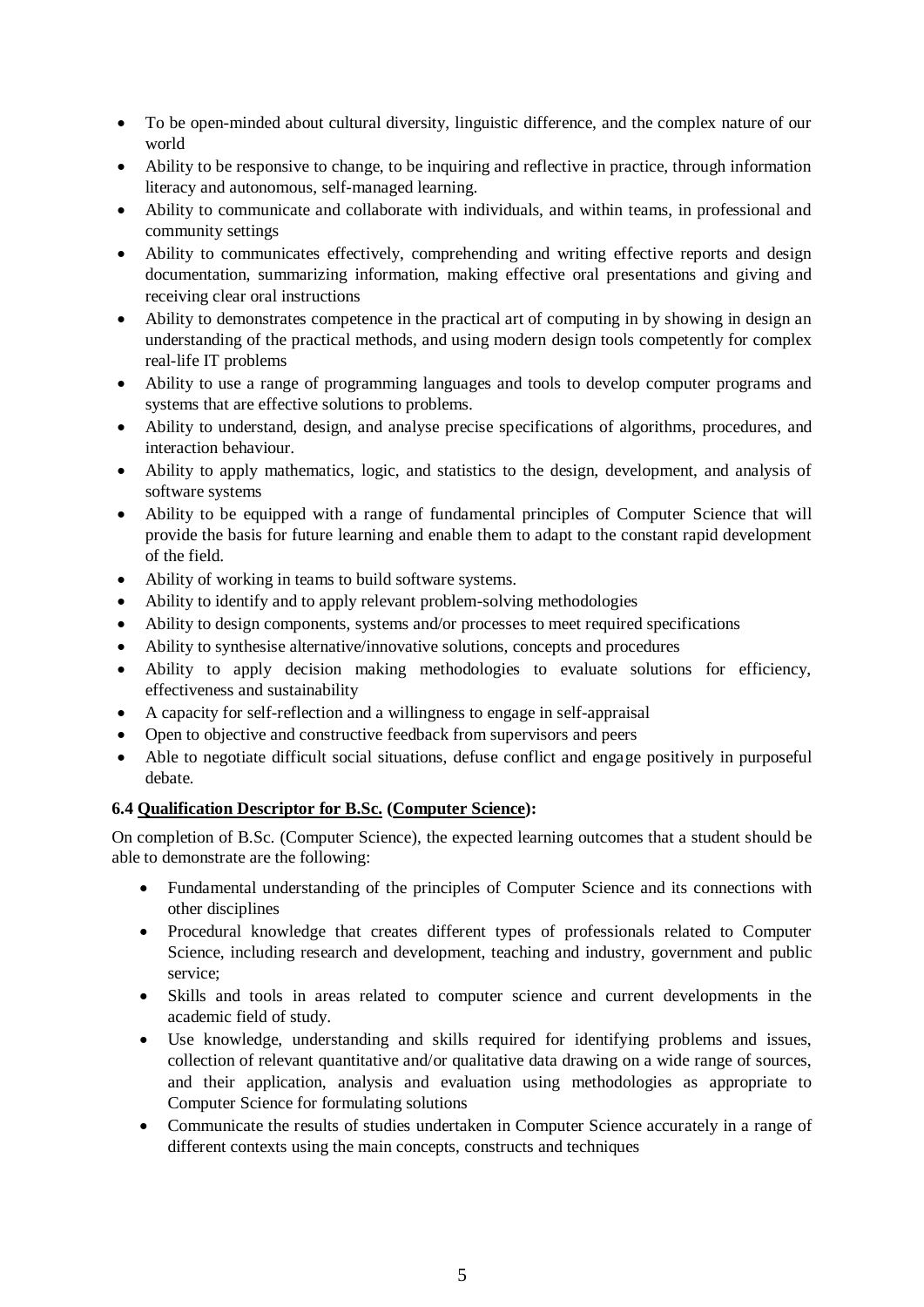- To be open-minded about cultural diversity, linguistic difference, and the complex nature of our world
- Ability to be responsive to change, to be inquiring and reflective in practice, through information literacy and autonomous, self-managed learning.
- Ability to communicate and collaborate with individuals, and within teams, in professional and community settings
- Ability to communicates effectively, comprehending and writing effective reports and design documentation, summarizing information, making effective oral presentations and giving and receiving clear oral instructions
- Ability to demonstrates competence in the practical art of computing in by showing in design an understanding of the practical methods, and using modern design tools competently for complex real-life IT problems
- Ability to use a range of programming languages and tools to develop computer programs and systems that are effective solutions to problems.
- Ability to understand, design, and analyse precise specifications of algorithms, procedures, and interaction behaviour.
- Ability to apply mathematics, logic, and statistics to the design, development, and analysis of software systems
- Ability to be equipped with a range of fundamental principles of Computer Science that will provide the basis for future learning and enable them to adapt to the constant rapid development of the field.
- Ability of working in teams to build software systems.
- Ability to identify and to apply relevant problem-solving methodologies
- Ability to design components, systems and/or processes to meet required specifications
- Ability to synthesise alternative/innovative solutions, concepts and procedures
- Ability to apply decision making methodologies to evaluate solutions for efficiency, effectiveness and sustainability
- A capacity for self-reflection and a willingness to engage in self-appraisal
- Open to objective and constructive feedback from supervisors and peers
- Able to negotiate difficult social situations, defuse conflict and engage positively in purposeful debate.

## **6.4 Qualification Descriptor for B.Sc. (Computer Science):**

On completion of B.Sc. (Computer Science), the expected learning outcomes that a student should be able to demonstrate are the following:

- Fundamental understanding of the principles of Computer Science and its connections with other disciplines
- Procedural knowledge that creates different types of professionals related to Computer Science, including research and development, teaching and industry, government and public service;
- Skills and tools in areas related to computer science and current developments in the academic field of study.
- Use knowledge, understanding and skills required for identifying problems and issues, collection of relevant quantitative and/or qualitative data drawing on a wide range of sources, and their application, analysis and evaluation using methodologies as appropriate to Computer Science for formulating solutions
- Communicate the results of studies undertaken in Computer Science accurately in a range of different contexts using the main concepts, constructs and techniques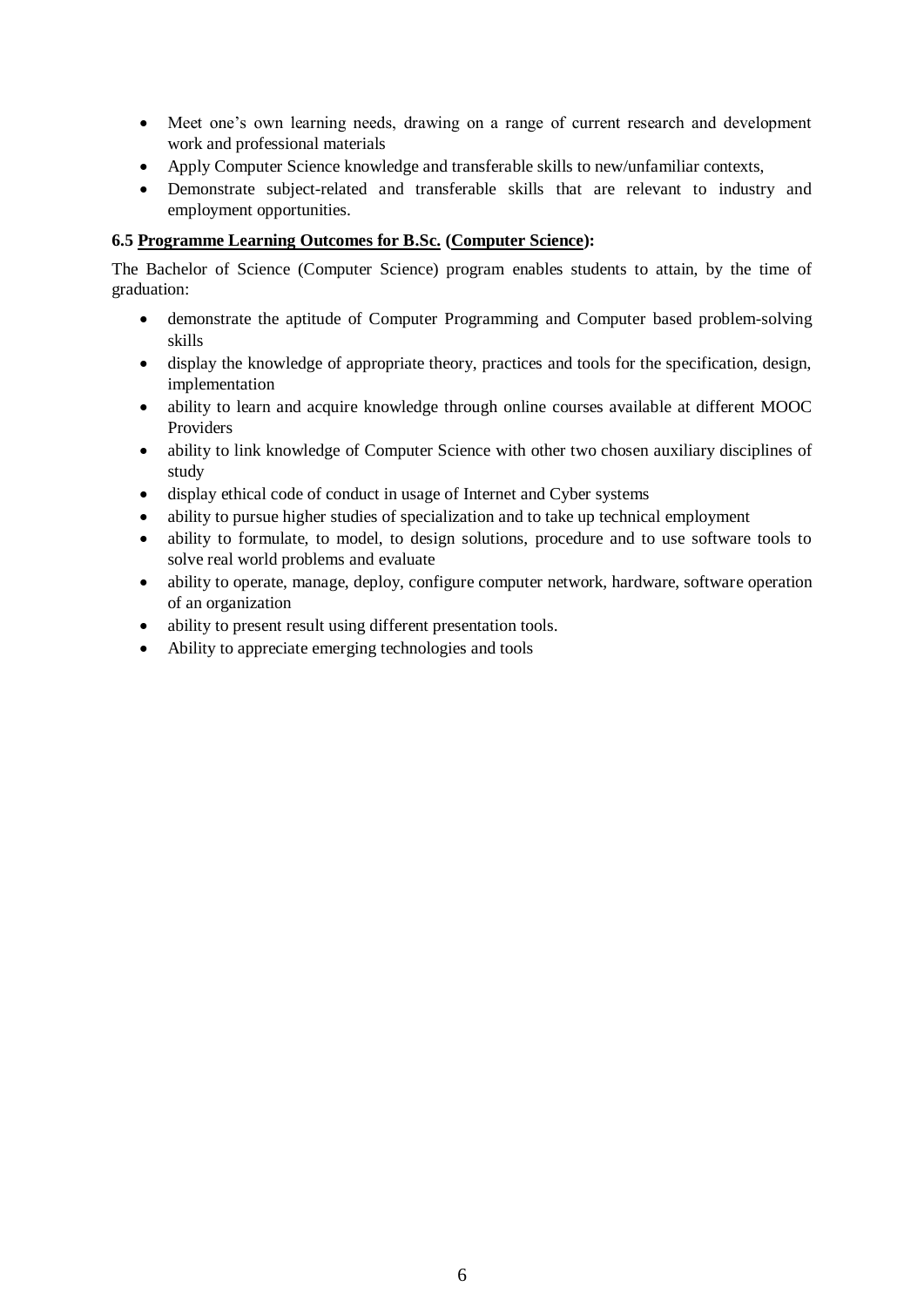- Meet one's own learning needs, drawing on a range of current research and development work and professional materials
- Apply Computer Science knowledge and transferable skills to new/unfamiliar contexts,
- Demonstrate subject-related and transferable skills that are relevant to industry and employment opportunities.

## **6.5 Programme Learning Outcomes for B.Sc. (Computer Science):**

The Bachelor of Science (Computer Science) program enables students to attain, by the time of graduation:

- demonstrate the aptitude of Computer Programming and Computer based problem-solving skills
- display the knowledge of appropriate theory, practices and tools for the specification, design, implementation
- ability to learn and acquire knowledge through online courses available at different MOOC Providers
- ability to link knowledge of Computer Science with other two chosen auxiliary disciplines of study
- display ethical code of conduct in usage of Internet and Cyber systems
- ability to pursue higher studies of specialization and to take up technical employment
- ability to formulate, to model, to design solutions, procedure and to use software tools to solve real world problems and evaluate
- ability to operate, manage, deploy, configure computer network, hardware, software operation of an organization
- ability to present result using different presentation tools.
- Ability to appreciate emerging technologies and tools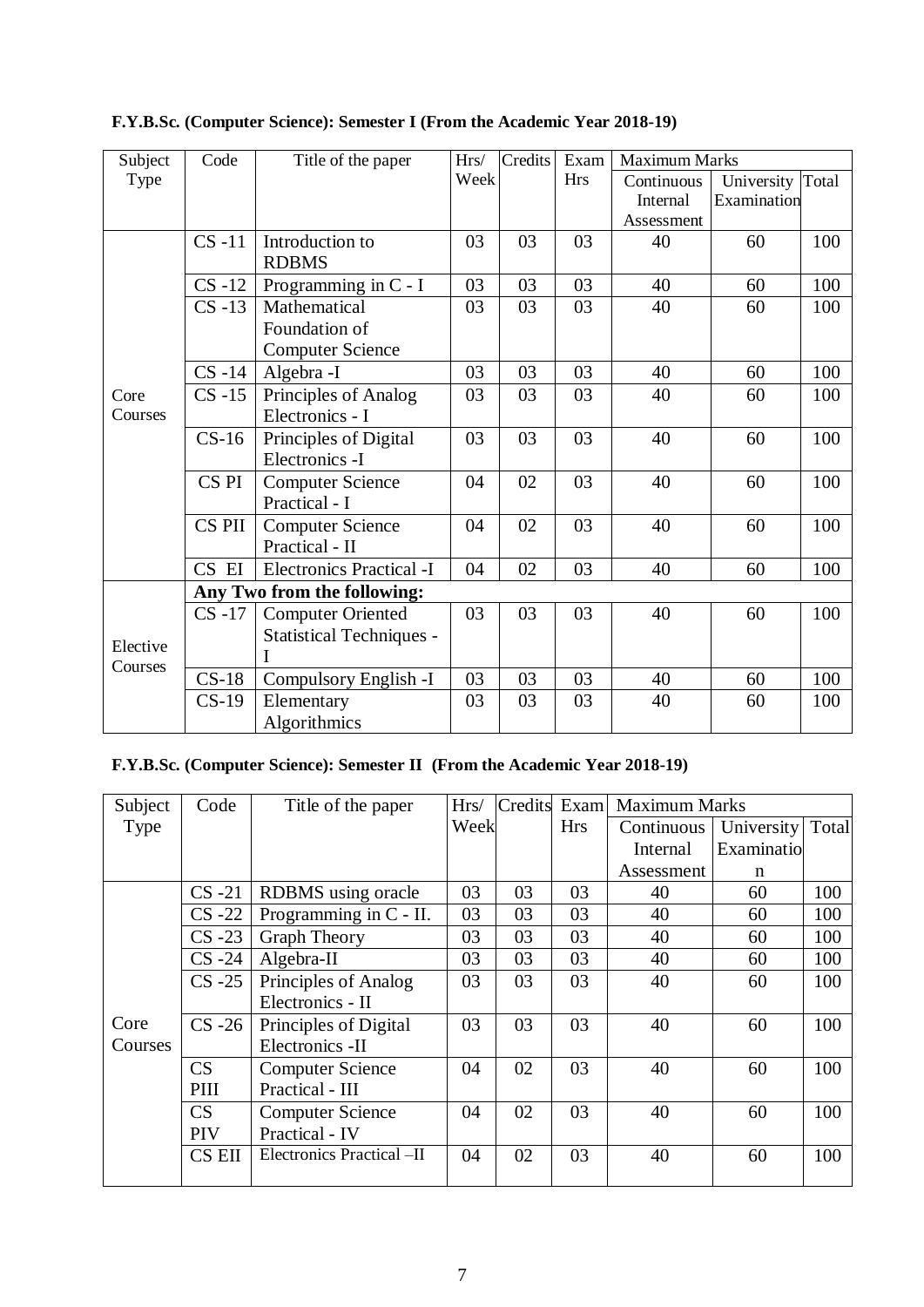| Subject  | Code             | Title of the paper              | Hrs/ | Credits | Exam       | <b>Maximum Marks</b> |                  |     |
|----------|------------------|---------------------------------|------|---------|------------|----------------------|------------------|-----|
| Type     |                  |                                 | Week |         | <b>Hrs</b> | Continuous           | University Total |     |
|          |                  |                                 |      |         |            | Internal             | Examination      |     |
|          |                  |                                 |      |         |            | Assessment           |                  |     |
|          | $CS -11$         | Introduction to                 | 03   | 03      | 03         | 40                   | 60               | 100 |
|          |                  | <b>RDBMS</b>                    |      |         |            |                      |                  |     |
|          | $CS -12$         | Programming in C - I            | 03   | 03      | 03         | 40                   | 60               | 100 |
|          | $CS -13$         | Mathematical                    | 03   | 03      | 03         | 40                   | 60               | 100 |
|          |                  | Foundation of                   |      |         |            |                      |                  |     |
|          |                  | <b>Computer Science</b>         |      |         |            |                      |                  |     |
|          | $CS -14$         | Algebra -I                      | 03   | 03      | 03         | 40                   | 60               | 100 |
| Core     | $CS -15$         | Principles of Analog            | 03   | 03      | 03         | 40                   | 60               | 100 |
| Courses  |                  | Electronics - I                 |      |         |            |                      |                  |     |
|          | $CS-16$          | Principles of Digital           | 03   | 03      | 03         | 40                   | 60               | 100 |
|          |                  | Electronics -I                  |      |         |            |                      |                  |     |
|          | CS <sub>PI</sub> | <b>Computer Science</b>         | 04   | 02      | 03         | 40                   | 60               | 100 |
|          |                  | Practical - I                   |      |         |            |                      |                  |     |
|          | CS PII           | <b>Computer Science</b>         | 04   | 02      | 03         | 40                   | 60               | 100 |
|          |                  | Practical - II                  |      |         |            |                      |                  |     |
|          | CS EI            | <b>Electronics Practical -I</b> | 04   | 02      | 03         | 40                   | 60               | 100 |
|          |                  | Any Two from the following:     |      |         |            |                      |                  |     |
|          | $CS -17$         | <b>Computer Oriented</b>        | 03   | 03      | 03         | 40                   | 60               | 100 |
|          |                  | <b>Statistical Techniques -</b> |      |         |            |                      |                  |     |
| Elective |                  |                                 |      |         |            |                      |                  |     |
| Courses  | $CS-18$          | Compulsory English -I           | 03   | 03      | 03         | 40                   | 60               | 100 |
|          | $CS-19$          | Elementary                      | 03   | 03      | 03         | 40                   | 60               | 100 |
|          |                  | Algorithmics                    |      |         |            |                      |                  |     |

**F.Y.B.Sc. (Computer Science): Semester I (From the Academic Year 2018-19)**

# **F.Y.B.Sc. (Computer Science): Semester II (From the Academic Year 2018-19)**

| Subject | Code          | Title of the paper        | Hrs/ | Credits | Exam       | <b>Maximum Marks</b> |            |       |
|---------|---------------|---------------------------|------|---------|------------|----------------------|------------|-------|
| Type    |               |                           | Week |         | <b>Hrs</b> | Continuous           | University | Total |
|         |               |                           |      |         |            | Internal             | Examinatio |       |
|         |               |                           |      |         |            | Assessment           | n          |       |
|         | $CS -21$      | RDBMS using oracle        | 03   | 03      | 03         | 40                   | 60         | 100   |
|         | $CS -22$      | Programming in C - II.    | 03   | 03      | 03         | 40                   | 60         | 100   |
|         | $CS - 23$     | <b>Graph Theory</b>       | 03   | 03      | 03         | 40                   | 60         | 100   |
|         | $CS -24$      | Algebra-II                | 03   | 03      | 03         | 40                   | 60         | 100   |
|         | $CS -25$      | Principles of Analog      | 03   | 03      | 03         | 40                   | 60         | 100   |
|         |               | Electronics - II          |      |         |            |                      |            |       |
| Core    | $CS -26$      | Principles of Digital     | 03   | 03      | 03         | 40                   | 60         | 100   |
| Courses |               | Electronics -II           |      |         |            |                      |            |       |
|         | CS            | <b>Computer Science</b>   | 04   | 02      | 03         | 40                   | 60         | 100   |
|         | PIII          | Practical - III           |      |         |            |                      |            |       |
|         | CS            | <b>Computer Science</b>   | 04   | 02      | 03         | 40                   | 60         | 100   |
|         | <b>PIV</b>    | Practical - IV            |      |         |            |                      |            |       |
|         | <b>CS EII</b> | Electronics Practical -II | 04   | 02      | 03         | 40                   | 60         | 100   |
|         |               |                           |      |         |            |                      |            |       |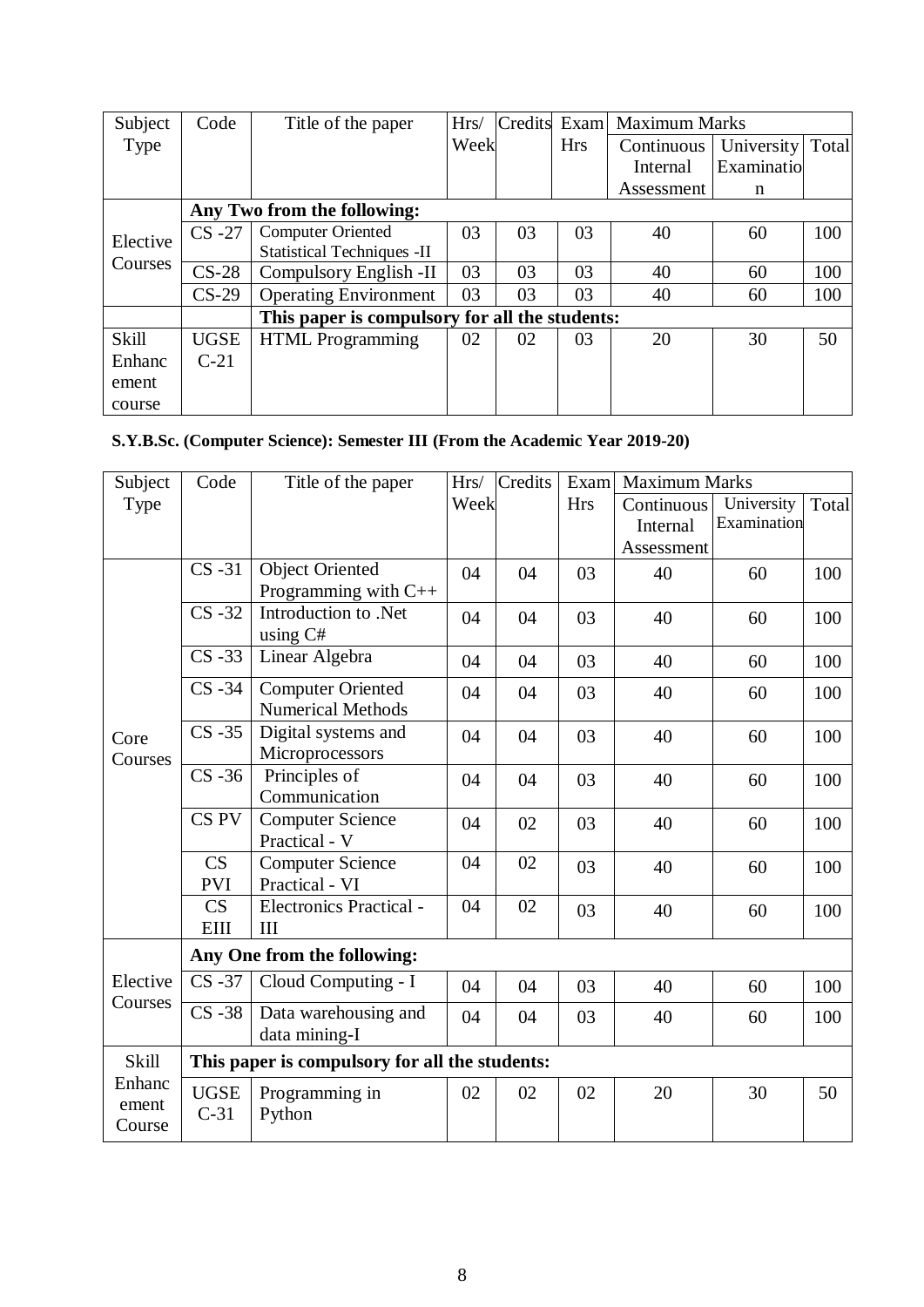| Subject      | Code        | Title of the paper                             | Hrs/ | Credits | Exam       | <b>Maximum Marks</b> |            |       |
|--------------|-------------|------------------------------------------------|------|---------|------------|----------------------|------------|-------|
| Type         |             |                                                | Week |         | <b>Hrs</b> | Continuous           | University | Total |
|              |             |                                                |      |         |            | Internal             | Examinatio |       |
|              |             |                                                |      |         |            | Assessment           | n          |       |
|              |             | Any Two from the following:                    |      |         |            |                      |            |       |
| Elective     | $CS -27$    | <b>Computer Oriented</b>                       | 03   | 03      | 03         | 40                   | 60         | 100   |
|              |             | <b>Statistical Techniques - II</b>             |      |         |            |                      |            |       |
| Courses      | $CS-28$     | Compulsory English -II                         | 03   | 03      | 03         | 40                   | 60         | 100   |
|              | $CS-29$     | <b>Operating Environment</b>                   | 03   | 03      | 03         | 40                   | 60         | 100   |
|              |             | This paper is compulsory for all the students: |      |         |            |                      |            |       |
| <b>Skill</b> | <b>UGSE</b> | <b>HTML</b> Programming                        | 02   | 02      | 03         | 20                   | 30         | 50    |
| Enhanc       | $C-21$      |                                                |      |         |            |                      |            |       |
| ement        |             |                                                |      |         |            |                      |            |       |
| course       |             |                                                |      |         |            |                      |            |       |

# **S.Y.B.Sc. (Computer Science): Semester III (From the Academic Year 2019-20)**

| Subject      | Code                        | Title of the paper                             | Hrs/ | Credits | Exam       | <b>Maximum Marks</b> |             |       |  |  |
|--------------|-----------------------------|------------------------------------------------|------|---------|------------|----------------------|-------------|-------|--|--|
| Type         |                             |                                                | Week |         | <b>Hrs</b> | Continuous           | University  | Total |  |  |
|              |                             |                                                |      |         |            | Internal             | Examination |       |  |  |
|              |                             |                                                |      |         |            | Assessment           |             |       |  |  |
|              | $CS -31$                    | <b>Object Oriented</b>                         | 04   | 04      | 03         | 40                   | 60          | 100   |  |  |
|              |                             | Programming with C++                           |      |         |            |                      |             |       |  |  |
|              | $CS -32$                    | Introduction to .Net                           | 04   | 04      | 03         | 40                   | 60          | 100   |  |  |
|              |                             | using C#                                       |      |         |            |                      |             |       |  |  |
|              | $CS -33$                    | Linear Algebra                                 | 04   | 04      | 03         | 40                   | 60          | 100   |  |  |
|              | $CS -34$                    | <b>Computer Oriented</b>                       | 04   | 04      | 03         | 40                   | 60          | 100   |  |  |
|              |                             | <b>Numerical Methods</b>                       |      |         |            |                      |             |       |  |  |
| Core         | $CS -35$                    | Digital systems and                            | 04   | 04      | 03         | 40                   | 60          | 100   |  |  |
| Courses      |                             | Microprocessors                                |      |         |            |                      |             |       |  |  |
|              | $CS -36$                    | Principles of                                  | 04   | 04      | 03         | 40                   | 60          | 100   |  |  |
|              |                             | Communication                                  |      |         |            |                      |             |       |  |  |
|              | CS <sub>PV</sub>            | <b>Computer Science</b>                        | 04   | 02      | 03         | 40                   | 60          | 100   |  |  |
|              |                             | Practical - V                                  |      |         |            |                      |             |       |  |  |
|              | CS                          | <b>Computer Science</b>                        | 04   | 02      | 03         | 40                   | 60          | 100   |  |  |
|              | <b>PVI</b>                  | Practical - VI                                 |      |         |            |                      |             |       |  |  |
|              | CS                          | Electronics Practical -                        | 04   | 02      | 03         | 40                   | 60          | 100   |  |  |
|              | <b>EIII</b>                 | III                                            |      |         |            |                      |             |       |  |  |
|              | Any One from the following: |                                                |      |         |            |                      |             |       |  |  |
| Elective     | $CS -37$                    | Cloud Computing - I                            | 04   | 04      | 03         | 40                   | 60          | 100   |  |  |
| Courses      | $CS - 38$                   | Data warehousing and                           | 04   | 04      | 03         | 40                   | 60          | 100   |  |  |
|              |                             | data mining-I                                  |      |         |            |                      |             |       |  |  |
| <b>Skill</b> |                             | This paper is compulsory for all the students: |      |         |            |                      |             |       |  |  |
| Enhanc       | <b>UGSE</b>                 | Programming in                                 | 02   | 02      | 02         | 20                   | 30          | 50    |  |  |
| ement        | $C-31$                      | Python                                         |      |         |            |                      |             |       |  |  |
| Course       |                             |                                                |      |         |            |                      |             |       |  |  |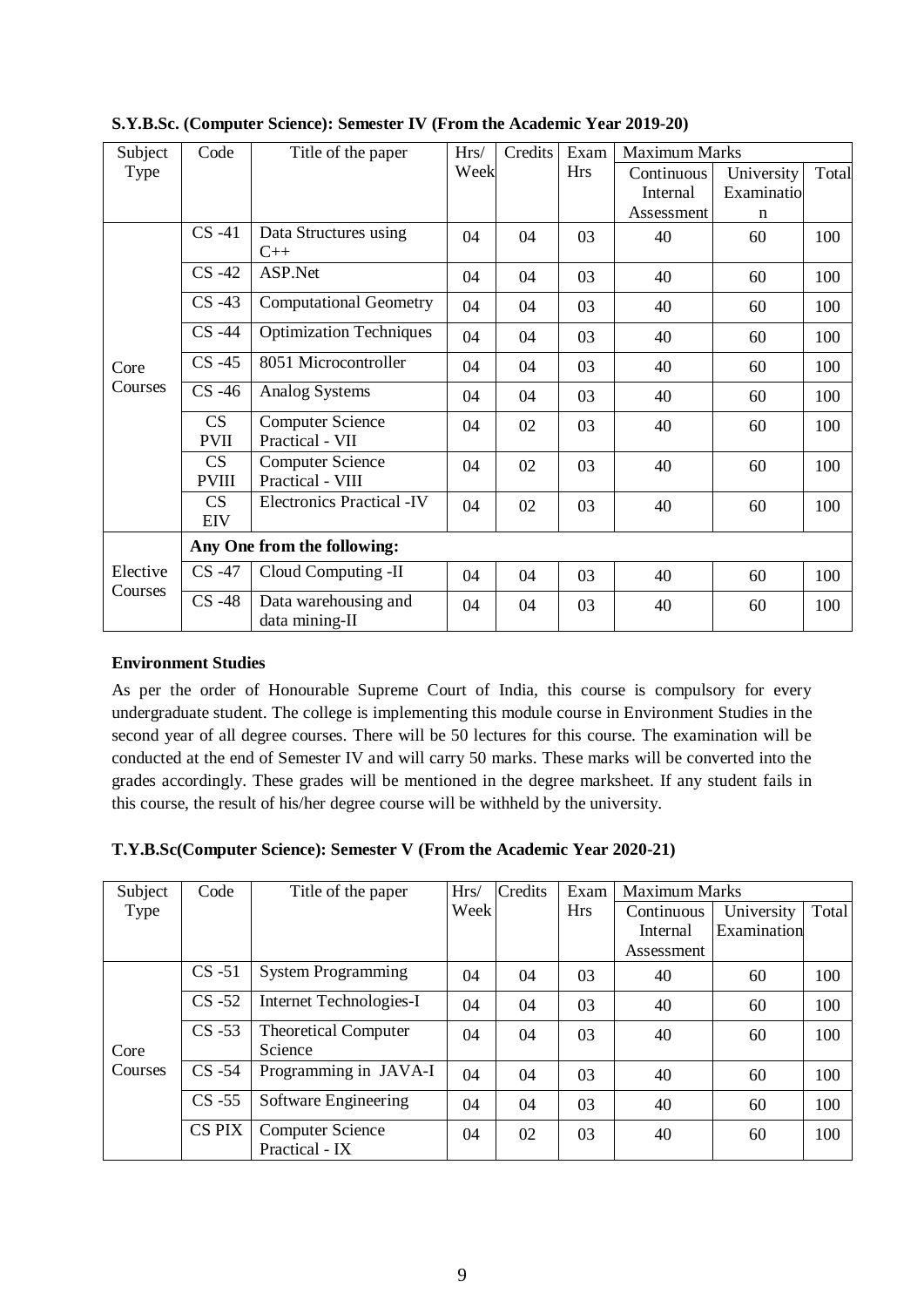| Subject             | Code         | Title of the paper                     | Hrs/ | Credits | Exam       | <b>Maximum Marks</b> |             |       |
|---------------------|--------------|----------------------------------------|------|---------|------------|----------------------|-------------|-------|
| Type                |              |                                        | Week |         | <b>Hrs</b> | Continuous           | University  | Total |
|                     |              |                                        |      |         |            | <b>Internal</b>      | Examinatio  |       |
|                     |              |                                        |      |         |            | Assessment           | $\mathbf n$ |       |
|                     | $CS -41$     | Data Structures using                  | 04   | 04      | 03         | 40                   | 60          | 100   |
|                     |              | $C++$                                  |      |         |            |                      |             |       |
|                     | $CS -42$     | ASP.Net                                | 04   | 04      | 03         | 40                   | 60          | 100   |
|                     | $CS -43$     | <b>Computational Geometry</b>          | 04   | 04      | 03         | 40                   | 60          | 100   |
|                     | $CS -44$     | <b>Optimization Techniques</b>         | 04   | 04      | 03         | 40                   | 60          | 100   |
| Core                | $CS -45$     | 8051 Microcontroller                   | 04   | 04      | 03         | 40                   | 60          | 100   |
| Courses             | $CS -46$     | <b>Analog Systems</b>                  | 04   | 04      | 03         | 40                   | 60          | 100   |
|                     | CS           | <b>Computer Science</b>                | 04   | 02      | 03         | 40                   | 60          | 100   |
|                     | <b>PVII</b>  | Practical - VII                        |      |         |            |                      |             |       |
|                     | CS           | <b>Computer Science</b>                | 04   | 02      | 03         | 40                   | 60          | 100   |
|                     | <b>PVIII</b> | Practical - VIII                       |      |         |            |                      |             |       |
|                     | CS           | <b>Electronics Practical -IV</b>       | 04   | 02      | 03         | 40                   | 60          | 100   |
|                     | <b>EIV</b>   |                                        |      |         |            |                      |             |       |
|                     |              | Any One from the following:            |      |         |            |                      |             |       |
| Elective<br>Courses | $CS -47$     | Cloud Computing -II                    | 04   | 04      | 03         | 40                   | 60          | 100   |
|                     | $CS -48$     | Data warehousing and<br>data mining-II | 04   | 04      | 03         | 40                   | 60          | 100   |

**S.Y.B.Sc. (Computer Science): Semester IV (From the Academic Year 2019-20)**

#### **Environment Studies**

As per the order of Honourable Supreme Court of India, this course is compulsory for every undergraduate student. The college is implementing this module course in Environment Studies in the second year of all degree courses. There will be 50 lectures for this course. The examination will be conducted at the end of Semester IV and will carry 50 marks. These marks will be converted into the grades accordingly. These grades will be mentioned in the degree marksheet. If any student fails in this course, the result of his/her degree course will be withheld by the university.

#### **T.Y.B.Sc(Computer Science): Semester V (From the Academic Year 2020-21)**

|                             |                                                                                                                      |    |            | <b>Maximum Marks</b> |             |       |
|-----------------------------|----------------------------------------------------------------------------------------------------------------------|----|------------|----------------------|-------------|-------|
|                             | Week                                                                                                                 |    | <b>Hrs</b> | Continuous           | University  | Total |
|                             |                                                                                                                      |    |            | Internal             | Examination |       |
|                             |                                                                                                                      |    |            | Assessment           |             |       |
| <b>System Programming</b>   | 04                                                                                                                   | 04 | 03         | 40                   | 60          | 100   |
| Internet Technologies-I     | 04                                                                                                                   | 04 | 03         | 40                   | 60          | 100   |
| <b>Theoretical Computer</b> | 04                                                                                                                   | 04 | 03         | 40                   | 60          | 100   |
| Science                     |                                                                                                                      |    |            |                      |             |       |
|                             | 04                                                                                                                   | 04 | 03         | 40                   | 60          | 100   |
| Software Engineering        | 04                                                                                                                   | 04 | 03         | 40                   | 60          | 100   |
| <b>Computer Science</b>     | 04                                                                                                                   | 02 | 03         | 40                   | 60          | 100   |
|                             | $CS -51$<br>$CS -52$<br>$CS -53$<br>Programming in JAVA-I<br>$CS -54$<br>$CS -55$<br><b>CS PIX</b><br>Practical - IX |    |            |                      |             |       |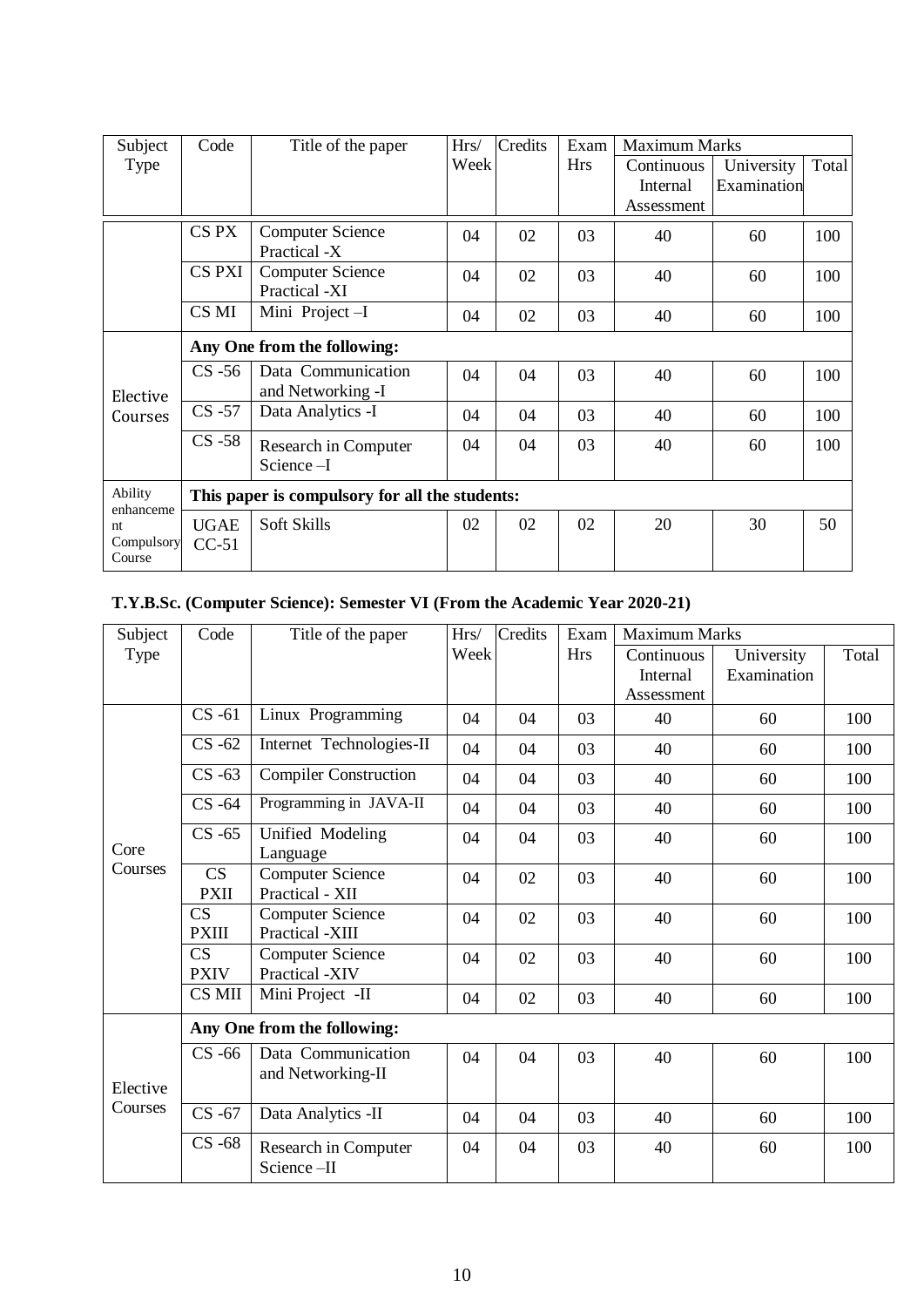| Subject              | Code                                           | Title of the paper                      | Credits<br>Exam<br>Hrs/ |    | <b>Maximum Marks</b> |            |             |       |  |
|----------------------|------------------------------------------------|-----------------------------------------|-------------------------|----|----------------------|------------|-------------|-------|--|
| Type                 |                                                |                                         | Week                    |    | <b>Hrs</b>           | Continuous | University  | Total |  |
|                      |                                                |                                         |                         |    |                      | Internal   | Examination |       |  |
|                      |                                                |                                         |                         |    |                      | Assessment |             |       |  |
|                      | CS PX                                          | <b>Computer Science</b>                 | 04                      | 02 | 03                   | 40         | 60          | 100   |  |
|                      |                                                | Practical -X                            |                         |    |                      |            |             |       |  |
|                      | <b>CS PXI</b>                                  | <b>Computer Science</b>                 | 04                      | 02 | 03                   | 40         | 60          | 100   |  |
|                      |                                                | Practical -XI                           |                         |    |                      |            |             |       |  |
|                      | CS MI                                          | Mini Project-I                          | 04                      | 02 | 03                   | 40         | 60          | 100   |  |
|                      | Any One from the following:                    |                                         |                         |    |                      |            |             |       |  |
| Elective             | $CS -56$                                       | Data Communication<br>and Networking -I | 04                      | 04 | 03                   | 40         | 60          | 100   |  |
| Courses              | $CS -57$                                       | Data Analytics -I                       | 04                      | 04 | 03                   | 40         | 60          | 100   |  |
|                      | $CS -58$                                       | Research in Computer                    | 04                      | 04 | 03                   | 40         | 60          | 100   |  |
|                      |                                                | Science-I                               |                         |    |                      |            |             |       |  |
| Ability              | This paper is compulsory for all the students: |                                         |                         |    |                      |            |             |       |  |
| enhanceme<br>nt      | <b>UGAE</b>                                    | Soft Skills                             | 02                      | 02 | 02                   | 20         | 30          | 50    |  |
| Compulsory<br>Course | $CC-51$                                        |                                         |                         |    |                      |            |             |       |  |

# **T.Y.B.Sc. (Computer Science): Semester VI (From the Academic Year 2020-21)**

| Subject  | Code                                   | Title of the paper                         | Hrs/ | Credits | Exam       | <b>Maximum Marks</b> |             |       |
|----------|----------------------------------------|--------------------------------------------|------|---------|------------|----------------------|-------------|-------|
| Type     |                                        |                                            | Week |         | <b>Hrs</b> | Continuous           | University  | Total |
|          |                                        |                                            |      |         |            | Internal             | Examination |       |
|          |                                        |                                            |      |         |            | Assessment           |             |       |
|          | $CS -61$                               | Linux Programming                          | 04   | 04      | 03         | 40                   | 60          | 100   |
|          | $CS -62$                               | Internet Technologies-II                   | 04   | 04      | 03         | 40                   | 60          | 100   |
|          | $CS -63$                               | <b>Compiler Construction</b>               | 04   | 04      | 03         | 40                   | 60          | 100   |
|          | $CS -64$                               | Programming in JAVA-II                     | 04   | 04      | 03         | 40                   | 60          | 100   |
| Core     | $CS -65$                               | Unified Modeling<br>Language               | 04   | 04      | 03         | 40                   | 60          | 100   |
| Courses  | CS<br><b>PXII</b>                      | <b>Computer Science</b><br>Practical - XII | 04   | 02      | 03         | 40                   | 60          | 100   |
|          | $\overline{\text{CS}}$<br><b>PXIII</b> | <b>Computer Science</b><br>Practical -XIII | 04   | 02      | 03         | 40                   | 60          | 100   |
|          | CS<br><b>PXIV</b>                      | <b>Computer Science</b><br>Practical -XIV  | 04   | 02      | 03         | 40                   | 60          | 100   |
|          | CS MII                                 | Mini Project -II                           | 04   | 02      | 03         | 40                   | 60          | 100   |
|          |                                        | Any One from the following:                |      |         |            |                      |             |       |
| Elective | $CS -66$                               | Data Communication<br>and Networking-II    | 04   | 04      | 03         | 40                   | 60          | 100   |
| Courses  | $CS -67$                               | Data Analytics -II                         | 04   | 04      | 03         | 40                   | 60          | 100   |
|          | $CS -68$                               | Research in Computer<br>Science-II         | 04   | 04      | 03         | 40                   | 60          | 100   |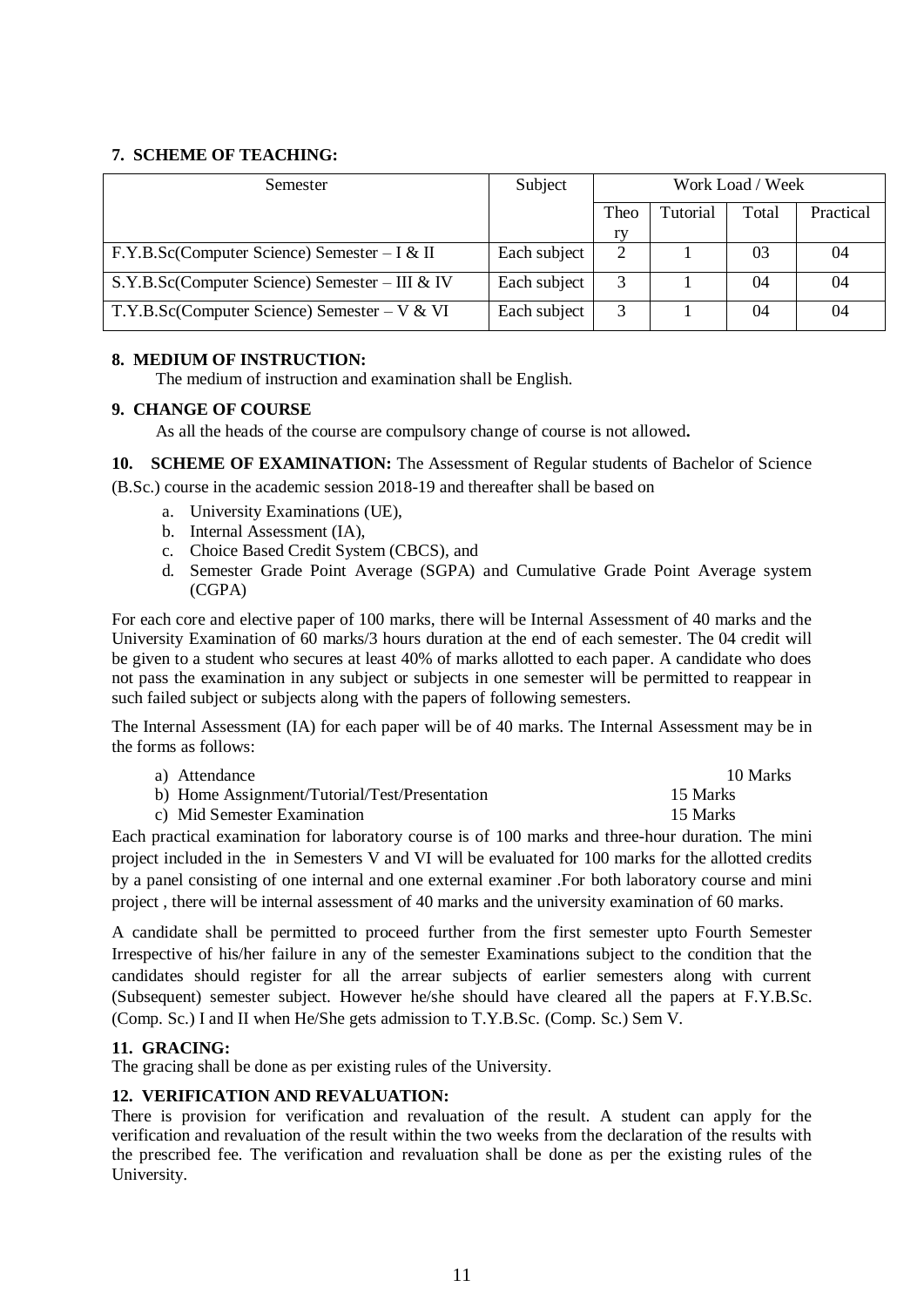#### **7. SCHEME OF TEACHING:**

| Semester                                       | Subject      | Work Load / Week |                 |       |           |
|------------------------------------------------|--------------|------------------|-----------------|-------|-----------|
|                                                |              | Theo             | <b>Tutorial</b> | Total | Practical |
|                                                |              | ry               |                 |       |           |
| F.Y.B.Sc(Computer Science) Semester – I & II   | Each subject | 2                |                 | 03    | 04        |
| S.Y.B.Sc(Computer Science) Semester – III & IV | Each subject | 3                |                 | 04    | 04        |
| T.Y.B.Sc(Computer Science) Semester – $V & W$  | Each subject | 3                |                 | 04    | 04        |

#### **8. MEDIUM OF INSTRUCTION:**

The medium of instruction and examination shall be English.

#### **9. CHANGE OF COURSE**

As all the heads of the course are compulsory change of course is not allowed**.**

**10. SCHEME OF EXAMINATION:** The Assessment of Regular students of Bachelor of Science

(B.Sc.) course in the academic session 2018-19 and thereafter shall be based on

- a. University Examinations (UE),
- b. Internal Assessment (IA),
- c. Choice Based Credit System (CBCS), and
- d. Semester Grade Point Average (SGPA) and Cumulative Grade Point Average system (CGPA)

For each core and elective paper of 100 marks, there will be Internal Assessment of 40 marks and the University Examination of 60 marks/3 hours duration at the end of each semester. The 04 credit will be given to a student who secures at least 40% of marks allotted to each paper. A candidate who does not pass the examination in any subject or subjects in one semester will be permitted to reappear in such failed subject or subjects along with the papers of following semesters.

The Internal Assessment (IA) for each paper will be of 40 marks. The Internal Assessment may be in the forms as follows:

| a) Attendance                                 | 10 Marks |
|-----------------------------------------------|----------|
| b) Home Assignment/Tutorial/Test/Presentation | 15 Marks |
| c) Mid Semester Examination                   | 15 Marks |

Each practical examination for laboratory course is of 100 marks and three-hour duration. The mini project included in the in Semesters V and VI will be evaluated for 100 marks for the allotted credits by a panel consisting of one internal and one external examiner .For both laboratory course and mini project , there will be internal assessment of 40 marks and the university examination of 60 marks.

A candidate shall be permitted to proceed further from the first semester upto Fourth Semester Irrespective of his/her failure in any of the semester Examinations subject to the condition that the candidates should register for all the arrear subjects of earlier semesters along with current (Subsequent) semester subject. However he/she should have cleared all the papers at F.Y.B.Sc. (Comp. Sc.) I and II when He/She gets admission to T.Y.B.Sc. (Comp. Sc.) Sem V.

## **11. GRACING:**

The gracing shall be done as per existing rules of the University.

#### **12. VERIFICATION AND REVALUATION:**

There is provision for verification and revaluation of the result. A student can apply for the verification and revaluation of the result within the two weeks from the declaration of the results with the prescribed fee. The verification and revaluation shall be done as per the existing rules of the University.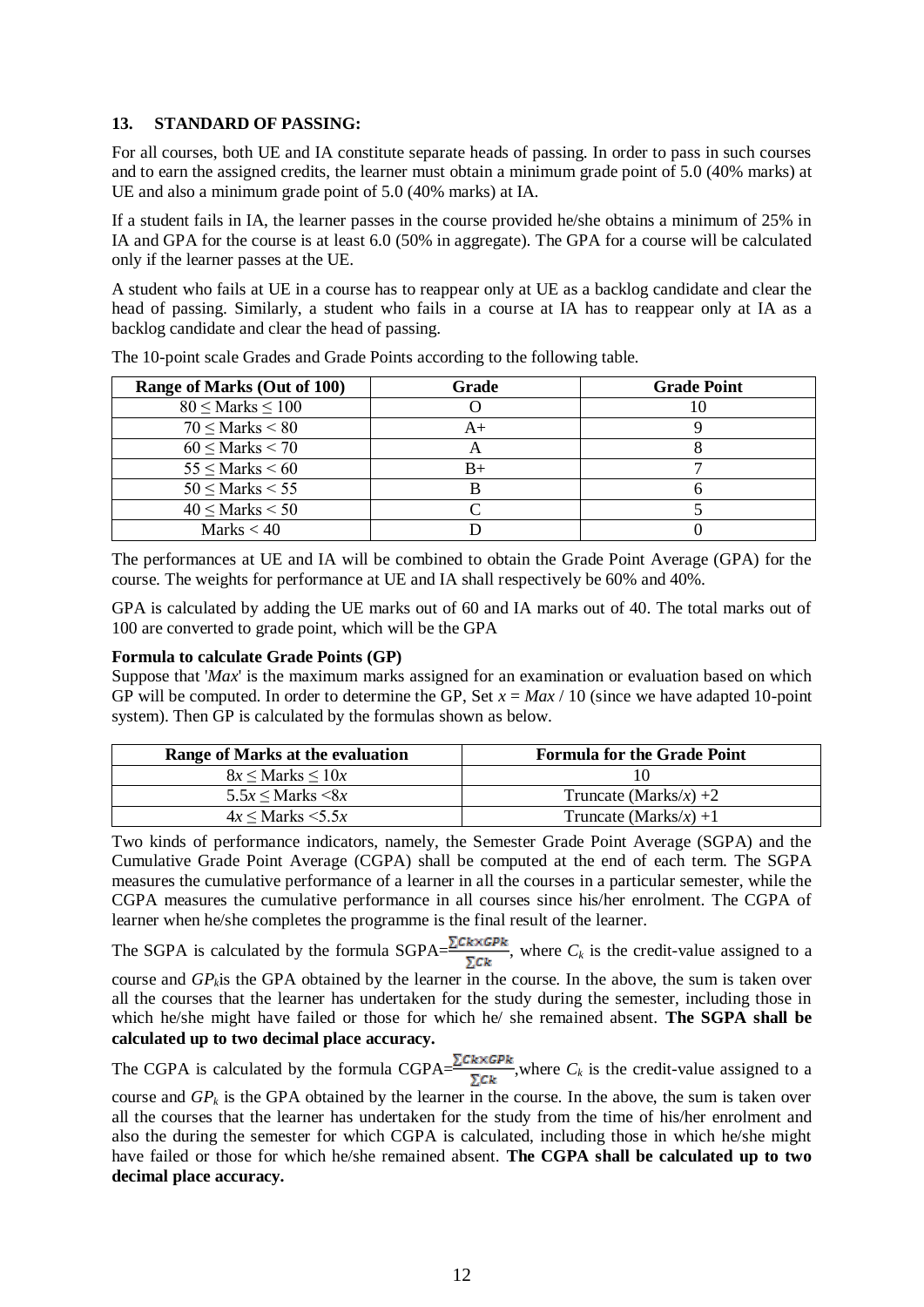#### **13. STANDARD OF PASSING:**

For all courses, both UE and IA constitute separate heads of passing. In order to pass in such courses and to earn the assigned credits, the learner must obtain a minimum grade point of 5.0 (40% marks) at UE and also a minimum grade point of 5.0 (40% marks) at IA.

If a student fails in IA, the learner passes in the course provided he/she obtains a minimum of 25% in IA and GPA for the course is at least 6.0 (50% in aggregate). The GPA for a course will be calculated only if the learner passes at the UE.

A student who fails at UE in a course has to reappear only at UE as a backlog candidate and clear the head of passing. Similarly, a student who fails in a course at IA has to reappear only at IA as a backlog candidate and clear the head of passing.

| Range of Marks (Out of 100) | Grade | <b>Grade Point</b> |
|-----------------------------|-------|--------------------|
| $80 \leq$ Marks $\leq 100$  |       | ПU                 |
| $70 \leq$ Marks $< 80$      |       |                    |
| $60 \leq$ Marks $< 70$      |       |                    |
| $55 \leq$ Marks $\leq 60$   | B+    |                    |
| $50 \leq$ Marks $< 55$      |       |                    |
| $40 \leq$ Marks $< 50$      |       |                    |
| Marks $< 40$                |       |                    |

The 10-point scale Grades and Grade Points according to the following table.

The performances at UE and IA will be combined to obtain the Grade Point Average (GPA) for the course. The weights for performance at UE and IA shall respectively be 60% and 40%.

GPA is calculated by adding the UE marks out of 60 and IA marks out of 40. The total marks out of 100 are converted to grade point, which will be the GPA

#### **Formula to calculate Grade Points (GP)**

Suppose that '*Max*' is the maximum marks assigned for an examination or evaluation based on which GP will be computed. In order to determine the GP, Set *x* = *Max* / 10 (since we have adapted 10-point system). Then GP is calculated by the formulas shown as below.

| Range of Marks at the evaluation | <b>Formula for the Grade Point</b> |
|----------------------------------|------------------------------------|
| $8x \leq$ Marks $\leq 10x$       |                                    |
| $5.5x \leq$ Marks $\leq 8x$      | Truncate (Marks/x) +2              |
| $4x \leq$ Marks $\leq 5.5x$      | Truncate (Marks/x) +1              |

Two kinds of performance indicators, namely, the Semester Grade Point Average (SGPA) and the Cumulative Grade Point Average (CGPA) shall be computed at the end of each term. The SGPA measures the cumulative performance of a learner in all the courses in a particular semester, while the CGPA measures the cumulative performance in all courses since his/her enrolment. The CGPA of learner when he/she completes the programme is the final result of the learner.

The SGPA is calculated by the formula SGPA= $\frac{\sum C k \times GPR}{\sum C k}$ , where  $C_k$  is the credit-value assigned to a course and *GPk*is the GPA obtained by the learner in the course. In the above, the sum is taken over all the courses that the learner has undertaken for the study during the semester, including those in which he/she might have failed or those for which he/ she remained absent. **The SGPA shall be calculated up to two decimal place accuracy.**

The CGPA is calculated by the formula CGPA= $\frac{\sum C k \times GPR}{\sum C k}$ , where  $C_k$  is the credit-value assigned to a

course and  $GP_k$  is the GPA obtained by the learner in the course. In the above, the sum is taken over all the courses that the learner has undertaken for the study from the time of his/her enrolment and also the during the semester for which CGPA is calculated, including those in which he/she might have failed or those for which he/she remained absent. **The CGPA shall be calculated up to two decimal place accuracy.**